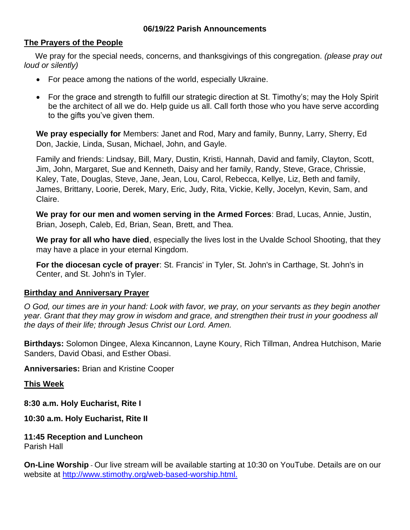#### **06/19/22 Parish Announcements**

#### **The Prayers of the People**

 We pray for the special needs, concerns, and thanksgivings of this congregation. *(please pray out loud or silently)*

- For peace among the nations of the world, especially Ukraine.
- For the grace and strength to fulfill our strategic direction at St. Timothy's; may the Holy Spirit be the architect of all we do. Help guide us all. Call forth those who you have serve according to the gifts you've given them.

**We pray especially for** Members: Janet and Rod, Mary and family, Bunny, Larry, Sherry, Ed Don, Jackie, Linda, Susan, Michael, John, and Gayle.

Family and friends: Lindsay, Bill, Mary, Dustin, Kristi, Hannah, David and family, Clayton, Scott, Jim, John, Margaret, Sue and Kenneth, Daisy and her family, Randy, Steve, Grace, Chrissie, Kaley, Tate, Douglas, Steve, Jane, Jean, Lou, Carol, Rebecca, Kellye, Liz, Beth and family, James, Brittany, Loorie, Derek, Mary, Eric, Judy, Rita, Vickie, Kelly, Jocelyn, Kevin, Sam, and Claire.

**We pray for our men and women serving in the Armed Forces**: Brad, Lucas, Annie, Justin, Brian, Joseph, Caleb, Ed, Brian, Sean, Brett, and Thea.

**We pray for all who have died**, especially the lives lost in the Uvalde School Shooting, that they may have a place in your eternal Kingdom.

**For the diocesan cycle of prayer**: St. Francis' in Tyler, St. John's in Carthage, St. John's in Center, and St. John's in Tyler.

#### **Birthday and Anniversary Prayer**

*O God, our times are in your hand: Look with favor, we pray, on your servants as they begin another year. Grant that they may grow in wisdom and grace, and strengthen their trust in your goodness all the days of their life; through Jesus Christ our Lord. Amen.*

**Birthdays:** Solomon Dingee, Alexa Kincannon, Layne Koury, Rich Tillman, Andrea Hutchison, Marie Sanders, David Obasi, and Esther Obasi.

**Anniversaries:** Brian and Kristine Cooper

#### **This Week**

**8:30 a.m. Holy Eucharist, Rite I**

**10:30 a.m. Holy Eucharist, Rite II**

**11:45 Reception and Luncheon** Parish Hall

**On-Line Worship** - Our live stream will be available starting at 10:30 on YouTube. Details are on our website at [http://www.stimothy.org/web-based-worship.html.](http://www.stimothy.org/web-based-worship.html)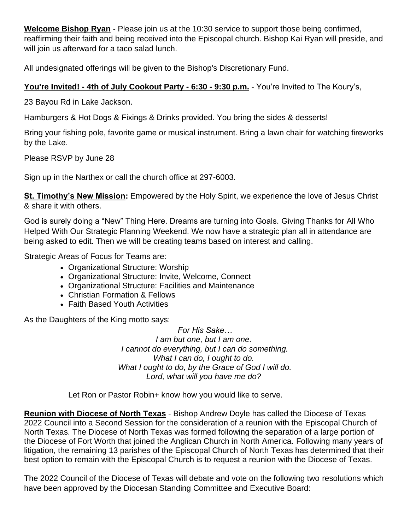**Welcome Bishop Ryan** - Please join us at the 10:30 service to support those being confirmed, reaffirming their faith and being received into the Episcopal church. Bishop Kai Ryan will preside, and will join us afterward for a taco salad lunch.

All undesignated offerings will be given to the Bishop's Discretionary Fund.

# **You're Invited! - 4th of July Cookout Party - 6:30 - 9:30 p.m.** - You're Invited to The Koury's,

23 Bayou Rd in Lake Jackson.

Hamburgers & Hot Dogs & Fixings & Drinks provided. You bring the sides & desserts!

Bring your fishing pole, favorite game or musical instrument. Bring a lawn chair for watching fireworks by the Lake.

Please RSVP by June 28

Sign up in the Narthex or call the church office at 297-6003.

**St. Timothy's New Mission:** Empowered by the Holy Spirit, we experience the love of Jesus Christ & share it with others.

God is surely doing a "New" Thing Here. Dreams are turning into Goals. Giving Thanks for All Who Helped With Our Strategic Planning Weekend. We now have a strategic plan all in attendance are being asked to edit. Then we will be creating teams based on interest and calling.

Strategic Areas of Focus for Teams are:

- Organizational Structure: Worship
- Organizational Structure: Invite, Welcome, Connect
- Organizational Structure: Facilities and Maintenance
- Christian Formation & Fellows
- Faith Based Youth Activities

As the Daughters of the King motto says:

*For His Sake… I am but one, but I am one. I cannot do everything, but I can do something. What I can do, I ought to do. What I ought to do, by the Grace of God I will do. Lord, what will you have me do?*

Let Ron or Pastor Robin+ know how you would like to serve.

**Reunion with Diocese of North Texas** - Bishop Andrew Doyle has called the Diocese of Texas 2022 Council into a Second Session for the consideration of a reunion with the Episcopal Church of North Texas. The Diocese of North Texas was formed following the separation of a large portion of the Diocese of Fort Worth that joined the Anglican Church in North America. Following many years of litigation, the remaining 13 parishes of the Episcopal Church of North Texas has determined that their best option to remain with the Episcopal Church is to request a reunion with the Diocese of Texas.

The 2022 Council of the Diocese of Texas will debate and vote on the following two resolutions which have been approved by the Diocesan Standing Committee and Executive Board: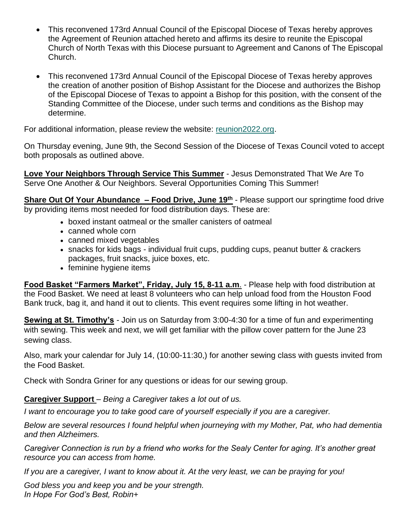- This reconvened 173rd Annual Council of the Episcopal Diocese of Texas hereby approves the Agreement of Reunion attached hereto and affirms its desire to reunite the Episcopal Church of North Texas with this Diocese pursuant to Agreement and Canons of The Episcopal Church.
- This reconvened 173rd Annual Council of the Episcopal Diocese of Texas hereby approves the creation of another position of Bishop Assistant for the Diocese and authorizes the Bishop of the Episcopal Diocese of Texas to appoint a Bishop for this position, with the consent of the Standing Committee of the Diocese, under such terms and conditions as the Bishop may determine.

For additional information, please review the website: [reunion2022.org.](https://r20.rs6.net/tn.jsp?f=001Ov9ZgsP6a4AsiiPDWgGikODk5pmpQqHz-eqUGKEjLP4O2OQFlR2jl0Yr9HP9wWBQohGzEPDR_OuEjRFrezXX6bpQ2fXecHBOQP1PVG9nXz2JMQTOHRGS4kjmjbbDMCSeCkcQ9GYNAHoV_NQ_E610lg==&c=5eXcy7omwFDMnBIuzH1YvlGbrXLvUk0NESztj4MrY0GMMut3Bmw4yg==&ch=3Ah30SrN3-E4ytKXu4512A60V4wev1Pj5Q1RM4d4BimN6khFHz3HQA==)

On Thursday evening, June 9th, the Second Session of the Diocese of Texas Council voted to accept both proposals as outlined above.

**Love Your Neighbors Through Service This Summer** - Jesus Demonstrated That We Are To Serve One Another & Our Neighbors. Several Opportunities Coming This Summer!

**Share Out Of Your Abundance – Food Drive, June 19th** - Please support our springtime food drive by providing items most needed for food distribution days. These are:

- boxed instant oatmeal or the smaller canisters of oatmeal
- canned whole corn
- canned mixed vegetables
- snacks for kids bags individual fruit cups, pudding cups, peanut butter & crackers packages, fruit snacks, juice boxes, etc.
- feminine hygiene items

**Food Basket "Farmers Market", Friday, July 15, 8-11 a.m**. - Please help with food distribution at the Food Basket. We need at least 8 volunteers who can help unload food from the Houston Food Bank truck, bag it, and hand it out to clients. This event requires some lifting in hot weather.

**Sewing at St. Timothy's** - Join us on Saturday from 3:00-4:30 for a time of fun and experimenting with sewing. This week and next, we will get familiar with the pillow cover pattern for the June 23 sewing class.

Also, mark your calendar for July 14, (10:00-11:30,) for another sewing class with guests invited from the Food Basket.

Check with Sondra Griner for any questions or ideas for our sewing group.

### **Caregiver Support** – *Being a Caregiver takes a lot out of us.*

*I want to encourage you to take good care of yourself especially if you are a caregiver.*

*Below are several resources I found helpful when journeying with my Mother, Pat, who had dementia and then Alzheimers.*

*Caregiver Connection is run by a friend who works for the Sealy Center for aging. It's another great resource you can access from home.*

*If you are a caregiver, I want to know about it. At the very least, we can be praying for you!*

*God bless you and keep you and be your strength. In Hope For God's Best, Robin+*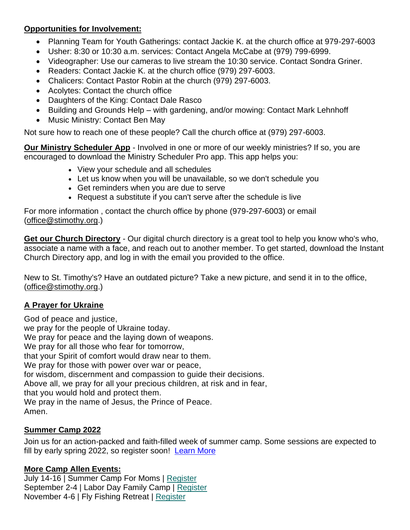### **Opportunities for Involvement:**

- Planning Team for Youth Gatherings: contact Jackie K. at the church office at 979-297-6003
- Usher: 8:30 or 10:30 a.m. services: Contact Angela McCabe at (979) 799-6999.
- Videographer: Use our cameras to live stream the 10:30 service. Contact Sondra Griner.
- Readers: Contact Jackie K. at the church office (979) 297-6003.
- Chalicers: Contact Pastor Robin at the church (979) 297-6003.
- Acolytes: Contact the church office
- Daughters of the King: Contact Dale Rasco
- Building and Grounds Help with gardening, and/or mowing: Contact Mark Lehnhoff
- Music Ministry: Contact Ben May

Not sure how to reach one of these people? Call the church office at (979) 297-6003.

**Our Ministry Scheduler App** - Involved in one or more of our weekly ministries? If so, you are encouraged to download the Ministry Scheduler Pro app. This app helps you:

- View your schedule and all schedules
- Let us know when you will be unavailable, so we don't schedule you
- Get reminders when you are due to serve
- Request a substitute if you can't serve after the schedule is live

For more information , contact the church office by phone (979-297-6003) or email [\(office@stimothy.org.](mailto:office@stimothy.org))

**Get our Church Directory** - Our digital church directory is a great tool to help you know who's who, associate a name with a face, and reach out to another member. To get started, download the Instant Church Directory app, and log in with the email you provided to the office.

New to St. Timothy's? Have an outdated picture? Take a new picture, and send it in to the office, [\(office@stimothy.org.](mailto:office@stimothy.org))

## **A Prayer for Ukraine**

God of peace and justice, we pray for the people of Ukraine today. We pray for peace and the laying down of weapons. We pray for all those who fear for tomorrow, that your Spirit of comfort would draw near to them. We pray for those with power over war or peace. for wisdom, discernment and compassion to guide their decisions. Above all, we pray for all your precious children, at risk and in fear, that you would hold and protect them. We pray in the name of Jesus, the Prince of Peace. Amen.

## **Summer Camp 2022**

Join us for an action-packed and faith-filled week of summer camp. Some sessions are expected to fill by early spring 2022, so register soon! [Learn More](https://www.campallen.org/summercamp.html)

## **More Camp Allen Events:**

July 14-16 | Summer Camp For Moms | [Register](https://r20.rs6.net/tn.jsp?f=0019x1vSJlpJyPt_mfpEsIlgUh7N8P5V1goyBqQEDF3TPIonccIuFDZj4T3-xxR_GnnAKoNGvTvsS-NLzvT4CfCBNe5EmtzAiqKl4iqLGhibmLceJvuZTL7SoFUQl3qL4dfNmIsQ8eIo3sqPi_9PEupBBgoIw3S1MDR5S4KhCGlTLWUOKPTwzXn-qsAaKdj-0MwWCxUjVJCv_SHJM6YKKMhsbIivrcvWawxSxVyyYbVhJA=&c=UCGbc9e2-qtaq-ns0tJQN3kHhBwz7t1IPyG_OI6yKLU8yO8Dm5TJZQ==&ch=9UCc5xElKq_ru9PA1NjPdOGAB1Nxk41eGFQbqa3O5psi0z4eVyRKzQ==) September 2-4 | Labor Day Family Camp | [Register](https://r20.rs6.net/tn.jsp?f=0019x1vSJlpJyPt_mfpEsIlgUh7N8P5V1goyBqQEDF3TPIonccIuFDZj4T3-xxR_Gnn51N4mI7o2B_6mmr2vx1nPGr2Cbwb9ti0qVSPkB8J7xyYS0VH2QlsjrlaSsSF6uIRoLDkPTQrzJa8iYDgx86kQhTXAlcRhvKshvr1TFcFfvPbLTRzXy4qXNQMEQfIJeFLRkzGYUnF4nMDx9eNs5BAOKsmwe30jD-x8c8xTQrHgfE=&c=UCGbc9e2-qtaq-ns0tJQN3kHhBwz7t1IPyG_OI6yKLU8yO8Dm5TJZQ==&ch=9UCc5xElKq_ru9PA1NjPdOGAB1Nxk41eGFQbqa3O5psi0z4eVyRKzQ==) November 4-6 | Fly Fishing Retreat | [Register](https://r20.rs6.net/tn.jsp?f=0019x1vSJlpJyPt_mfpEsIlgUh7N8P5V1goyBqQEDF3TPIonccIuFDZj4T3-xxR_GnnoBVVSQD4Id9fshsW7BYhs1d8kYVS2YZPgQS1HyReNuVDG5QKIWWJMN_X8_W9_ulK1M8lwfbqdFQdE2gKaNJOMcVmskCsiq720oZgAdpjkjUBo6rh4SWAwfDkL01uSCI-ks_gjOL8a-lNQRdtAZKCwdL02wZccI7tCz8QMw5LRxI=&c=UCGbc9e2-qtaq-ns0tJQN3kHhBwz7t1IPyG_OI6yKLU8yO8Dm5TJZQ==&ch=9UCc5xElKq_ru9PA1NjPdOGAB1Nxk41eGFQbqa3O5psi0z4eVyRKzQ==)